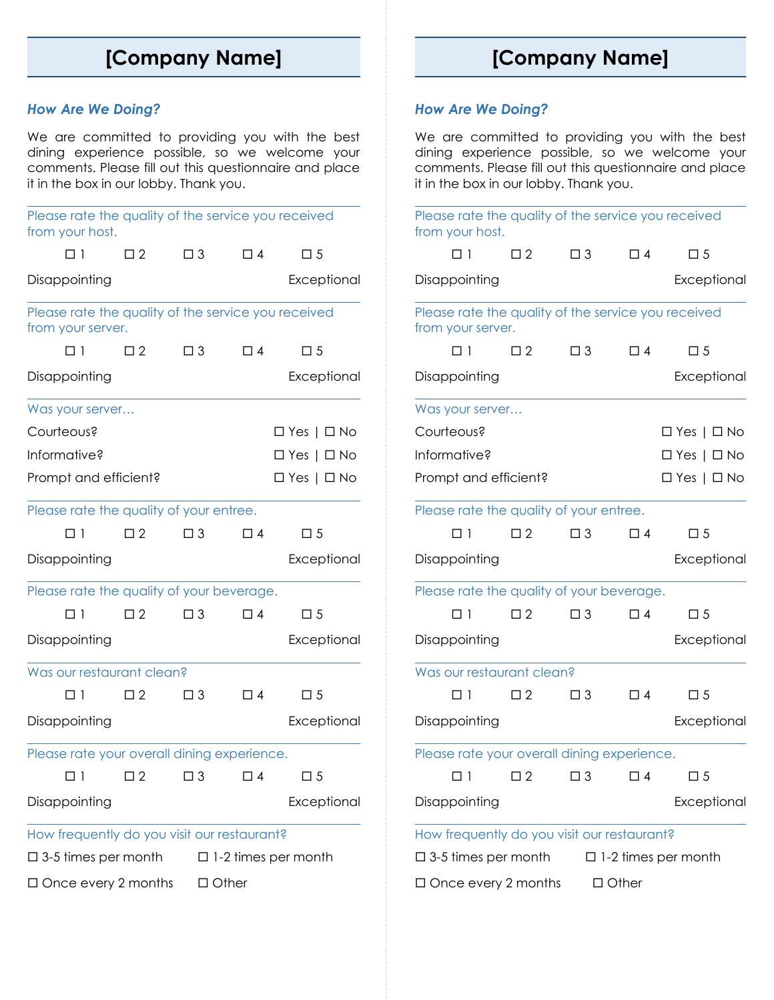## **[Company Name]**

## *How Are We Doing?*

We are committed to providing you with the best dining experience possible, so we welcome your comments. Please fill out this questionnaire and place it in the box in our lobby. Thank you.

| Please rate the quality of the service you received<br>from your host.   |             |                        |          |                        |  |  |
|--------------------------------------------------------------------------|-------------|------------------------|----------|------------------------|--|--|
| $\Box$ 1                                                                 | $\square$ 2 | $\Box$ 3               | $\Box$ 4 | $\square$ 5            |  |  |
| Disappointing                                                            |             |                        |          | Exceptional            |  |  |
| Please rate the quality of the service you received<br>from your server. |             |                        |          |                        |  |  |
| $\Box$ 1                                                                 | $\square$ 2 | $\Box$ 3               | $\Box$ 4 | $\Box$ 5               |  |  |
| Disappointing                                                            |             |                        |          | Exceptional            |  |  |
| Was your server                                                          |             |                        |          |                        |  |  |
| Courteous?                                                               |             |                        |          | $\Box$ Yes   $\Box$ No |  |  |
| Informative?                                                             |             |                        |          | $\Box$ Yes   $\Box$ No |  |  |
| Prompt and efficient?                                                    |             | $\Box$ Yes   $\Box$ No |          |                        |  |  |
| Please rate the quality of your entree.                                  |             |                        |          |                        |  |  |
| □ 1                                                                      | $\square$ 2 | $\Box$ 3               | $\Box$ 4 | $\square$ 5            |  |  |
| Disappointing                                                            |             | Exceptional            |          |                        |  |  |
| Please rate the quality of your beverage.                                |             |                        |          |                        |  |  |
| $\Box$ 1                                                                 | $\Box$ 2    | $\Box$ 3               | $\Box$ 4 | $\square$ 5            |  |  |
| Disappointing                                                            |             |                        |          | Exceptional            |  |  |
| Was our restaurant clean?                                                |             |                        |          |                        |  |  |
| □ 1                                                                      | $\Box$ 2    | $\Box$ 3               | $\Box$ 4 | $\Box$ 5               |  |  |
| Disappointing                                                            |             |                        |          | Exceptional            |  |  |
| Please rate your overall dining experience.                              |             |                        |          |                        |  |  |
| □ 1                                                                      | $\square$ 2 | $\square$ 3            | $\Box$ 4 | □ 5                    |  |  |
| Disappointing                                                            |             |                        |          | Exceptional            |  |  |
| How frequently do you visit our restaurant?                              |             |                        |          |                        |  |  |
| $\Box$ 3-5 times per month<br>$\Box$ 1-2 times per month                 |             |                        |          |                        |  |  |
| $\Box$ Once every 2 months<br>$\Box$ Other                               |             |                        |          |                        |  |  |

# **[Company Name]**

## *How Are We Doing?*

We are committed to providing you with the best dining experience possible, so we welcome your comments. Please fill out this questionnaire and place it in the box in our lobby. Thank you.

| Please rate the quality of the service you received<br>from your host.   |             |                                                    |              |                            |
|--------------------------------------------------------------------------|-------------|----------------------------------------------------|--------------|----------------------------|
| $\Box$ 1                                                                 | $\square$ 2 | $\square$ 3                                        | $\Box$ 4     | $\square$ 5                |
| Disappointing                                                            |             |                                                    |              | Exceptional                |
| Please rate the quality of the service you received<br>from your server. |             |                                                    |              |                            |
| $\Box$ 1                                                                 | $\square$ 2 | $\square$ 3                                        | $\Box$ 4     | $\square$ 5                |
| Disappointing                                                            |             |                                                    |              | Exceptional                |
| Was your server                                                          |             |                                                    |              |                            |
| Courteous?                                                               |             |                                                    |              | $\Box$ Yes   $\Box$ No     |
| Informative?                                                             |             | $\Box$ Yes   $\Box$ No                             |              |                            |
| Prompt and efficient?                                                    |             | $\Box$ Yes   $\Box$ No                             |              |                            |
| Please rate the quality of your entree.                                  |             |                                                    |              |                            |
| $\Box$ 1                                                                 | $\square$ 2 | $\square$ 3                                        | $\Box$ 4     | $\square$ 5                |
| Disappointing                                                            |             | Exceptional                                        |              |                            |
| Please rate the quality of your beverage.                                |             |                                                    |              |                            |
| $\Box$ 1                                                                 | $\square$ 2 | $\square$ 3                                        | $\Box$ 4     | $\square$ 5                |
| Disappointing                                                            |             |                                                    |              | Exceptional                |
| Was our restaurant clean?                                                |             |                                                    |              |                            |
| $\Box$ 1                                                                 | $\square$ 2 | $\Box$ 3                                           | $\Box$ 4     | $\square$ 5                |
| Disappointing                                                            |             |                                                    |              | Exceptional                |
| Please rate your overall dining experience.                              |             |                                                    |              |                            |
|                                                                          |             | $\Box 1 \qquad \Box 2 \qquad \Box 3 \qquad \Box 4$ |              | $\square$ 5                |
| Disappointing                                                            |             |                                                    |              | Exceptional                |
| How frequently do you visit our restaurant?                              |             |                                                    |              |                            |
| $\Box$ 3-5 times per month                                               |             |                                                    |              | $\Box$ 1-2 times per month |
| $\Box$ Once every 2 months                                               |             |                                                    | $\Box$ Other |                            |